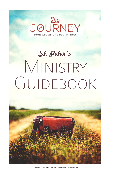

# St. Peter's Ministry GUIDEBOOK



St. Peter's Lutheran Church, Northfield, Minnesota 1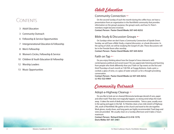# Contents

- 3 Adult Education
- 3 Community Outreach
- Fellowship & Service Opportunities 6
- 7 Intergenerational Education & Fellowship
- 8 Men's Fellowship
- Women's Circles, Fellowship & Service 8
- 10 Children & Youth Education & Fellowship
- Worship Leaders 12
- 13 Music Opportunities

# Adult Education

## Community Connection  $\leftarrow$

On the second Sunday of each the month during the coffee hour, we have a presentation from an organization in the Northfield community that provides information on the group's purpose, the group's work, and how St. Peter's members might become involved.

**Contact Person: Pastor David Weeks 507-645-8252**

## Bible Study & Discussion Groups  $\leftarrow$

On Sundays when we don't have a Community Connection of Upside Down Sunday, we will have a Bible Study, a topical discussion, or a book discussion. In the spring of 2020, we will be studying the Gospel of Luke. These discussions will be in the Fireside Room after worship.

#### **Contact Person: Pastor David Weeks 507-645-8252**

# Faith on Tap  $\leftarrow$

Do you enjoy thinking about how the Gospel of Jesus intersects with contemporary political and social issues? Do you appreciate listening and learning from people who think differently than you? Faith on Tap meets on the first and third Thursdays of each month at 7:00 P.M. at Froggy Bottoms. Grab a pint, a cocktail, a glass of wine, or a glass of water and join us for a thought provoking conversation.

**Contact Person: Pastor David Weeks (o) 507-645-8252; (c) 952-322-0064**

# Community Outreach

# Adopt-a-Highway Cleanup  $+$

Do you like to look out on cleaned Minnesota landscape devoid of cans, paper and other trash? That does not magically happen, no strong wind whips the trash away. It takes the work of dedicated environmentalists. Twice a year, usually once in the spring and again in the fall, St. Peterites clean a two-mile stretch of Highway 246, south of Northfield. We gather at the church and travel to the site together. Work gloves, sturdy shoes, and long pants are highly recommended. Trash bags and vests are provided. We usually clean on a Sunday afternoon and it takes 2 hours maximum.

**Contact Person: Richard DeBeau 612-418-1579; Doris Welke 507-301-3461**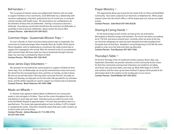#### BeFrienders +

This is a group of trained, caring, non-judgemental listeners who are ready to support members of our community. Each Befriender has a relationship with someone undergoing a transition, grieving the loss of a loved one, or caring for a family member with health issues. All conversations are confidential as are the identities of those who are befriended. *Training is necessary to become a befriender. If you feel you would either benefit from the assistance of a Befriender, or would like to train to become a Befriender, please contact the church office.* **Contact Person: Julie Klock 507-645-8252**

#### Common Hope - Guatemala Mission Trips  $\leftarrow$

For over a decade, St. Peter's has been doing mission trips to Guatemala. Our connection to Guatemala began when Amanda Olson de Castillo, Phil & Joanne Olson's daughter, went to Guatemala as a missionary. We made several trips to support the congregation she served. After she returned to the US, we partnered with Common Hope. We have made two trips to Guatemala through Common Hope. Our next trip is scheduled for March of 2020. **Contact Person: Phil Olson 507-250-4547**

#### Jesse James Days Volunteers \*-

We volunteer for two behind the scenes projects in support of Defeat of Jesse James Days. First, on Wednesday, we set up the entertainment center tent across the street from the municipal liquor store, and then on Sunday, we take it down. We also set up and take down a fencing which surrounds the tent. Secondly, on Friday and Saturday, we help park cars for the rodeo. We get paid for our volunteer hours, and the dollars typically are used to support our mission trip to Guatemala. **Contact Person: Brian Peterson 507-649-1888**

#### Meals-on-Wheels  $\leftarrow$

St. Peterites have agreed to deliver Meals on Wheels for two consecutive weeks in July and again in October. There are five routes throughout the city, and delivery is seven days per week. Volunteers pick up coolers for each route at the Northfield Hospital at approximately 11:45 each day and deliver them in a specified area. The routes take approximately an hour to deliver. A GPS is helpful in navigating the routes. Volunteers should be aware that each cooler contains up to three meals and can be heavy.

**Contact Person: Jolene Manzey (C) 712-299-2753; (H) 507-645-2543**

#### Prayer Ministry  $+$

This opportunity allows you to pray for the needs of the St. Peter and Northfield Community. Your name is placed on an electronic or telephone list. When prayer request comes into the church office, a call for prayer goes out, and you are asked to pray.

**Contact Person: Julie Klock 507-645-82528**

## Sharing & Caring Hands  $+$

On the third Sunday of each month, we load up the van and head to Minneapolis to feed the hungry and homeless. The church van leaves our parking lot at 7:30 A.M. and returns around noon. Currently, when we arrive at the site, we check the refrigerator for what has been donated and make breakfast from the goods that we find there. Breakfast is served beginning at 9:30 AM. We need people to cook, serve the food, and clean-up afterward. **Contact Person: Troy Nystuen 507-663-1926**

## Thursday's Table +

On the first Thursday of the of numbered months (January, March, May, July, September, November) we provide volunteers at the Community Action Center for their free community evening meal. Volunteers are needed to set tables, serve food, clear and reset tables, and clean up. Work shifts begin at 2:30 P.M. and continue until the clean-up has been finished. A signup will be posted at the information desk in the narthex on the Sunday prior to our service. **Contact Person: David Weeks 507-645-8252**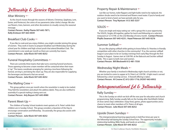# Fellowship & Service Opportunities

#### Altar Ministry  $\leftarrow$

As the church moves through the seasons of Advent, Christmas, Epiphany, Lent, Easter, and Pentecost, the colors of our paraments (altar cloths) change. We also use flowers, trees, banners, and other decorations to visually convey the seasonal message.

**Contact Person: Kathy Plante 507-645-7871; Kelly Erickson 507-663-0039**

#### Breakfast Club Cooks  $\leftarrow$

If you like to cook and you enjoy children, you might consider joining this group of women. They work in teams to prepare breakfast each Wednesday during the school year for children and high school youth that attend Breakfast Club. The commitment is one week per month as there are currently four teams. **Contact Person: Julie Klock 507-645-8252** 

#### Funeral Hospitality Committees  $+$

There are currently three teams that take turns covering funeral luncheons. Those agreeing to become a team member will be contacted when their team is "up." The teams coordinate arranging for catering a luncheon following the funeral, serving it, and doing the clean-up. They are also responsible for supplying the beverages and desserts that are served. **Contact Person: Julie Klock 507-645-8252**

## The Mailing Crew  $\leftarrow$

This group gathers once per month when the newsletter is ready to be mailed. They fold the newsletters and attach the address labels. They are also notified to assembly if a special mailing is being sent out. **Contact Person: Arly Boyum 507-645-8980**

#### Parent Meet-Up +

The children of Sunday School students meet upstairs at St. Peter's while their children are in Sunday School. This group considers a Question of the Day to encourage conversation and fellowship. Occasionally, the group also assists with a service project.

**Contact Person: Julie Klock 507-645-8252**

#### Property Repair & Maintenance  $+$

Just like our homes, toilet flappers and light bulbs need to be replaced, the outdoor shrubs need to be trimmed and flowers need water. If you're handy and you want to lend a hand, we have periodic jobs for you. **Contact Person: Troy Nystuen 612-363-3237**

#### $SOLOS$   $\leftarrow$

If you are single and enjoy eating out with a group this is your opportunity. The SOLOS, Singles All together, gather for lunch and fellowship at a selected restaurant at 12:15 P.M. on the 2nd Monday of every month. **Contact Person: Phyllis Swanson 507-645-4231; Hazel Peterson 507-645-9276**

#### Summer Softball +

Do you like playing softball while getting to know fellow St. Peterites in friendly competition with other churches in the community? If so, the summer softball league is your place to be on Sunday evenings from early May through the first Sunday in August. Games start at 5:00 P.M. at the Babcock and Sechler softball fields. This is open to both men and women. **Contact Person: Bill Bleckwehl 612-481-7550**

#### Wednesday Night Meals  $+$

Whether your family is involved in Wednesday night church activities or not, you are invited to come to supper at St. Peter's at 5:30 P.M. A light meal is served followed by a short worship service. A freewill offering is taken. **Contact Person: Al Croone (C) 612-203-1716; (H)507-663-8952**

# Intergenerational Ed & Fellowship

## Rally Sunday  $\leftarrow$

This is the Sunday on which we kick-off the new year for education and church programming. Rally Sunday usually falls on the Sunday after Northfield's Defeat of Jesse James Days celebration. Enjoy food, games, photo opportunities and a chance to meet other members of St. Peters of all ages. **Contact Person: Julie Klock 507-645-8252**

## Upside Down Sundays \*-

This intergenerational learning opportunity is held five times per year in the fellowship hall during the Sunday School hour. The opportunity includes relationship building, Bible Study, and hands on activities. **Contact Person: Julie Klock 507-645-8252**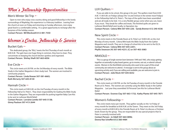# Men's Fellowship Opportunities

#### Men's Winter Ski Trip  $\leftarrow$

Open to men who enjoy cross country skiing and good fellowship in the lovely surroundings of Maplelag; this experience is a February tradition. Leaving from the church at noon on Friday and returning on Sunday afternoon, men enjoy great food in a comfortable setting. It's a great opportunity to recharge after the busyness of the holiday season.

**Contact Person: Bill Bleckwehl 612-481-7550**

# Women's Circles, Fellowship & Service

#### Bucket Gals  $\leftarrow$

This dedicated group, the "BGs," meets the first Thursday of each month at 8:00 A.M. The gals have one huge thing in common, they love to clean. They concentrate on keeping the church kitchen spotless and organized. **Contact Person: Shirley Shaft 507-663-6056**

## $Fve$  Circle  $\leftarrow$

This circle meets at 6:30 P.M. on the 3rd Monday of every month. The Bible Study in the Gather Magazine is their study tool. The women are involved in community projects.

**Contact Person: Linda Rowan 507-581-6665; Ruth McCarty 507-645-8130**

#### Hannah Circle  $\leftarrow$

This circle meets at 9:00 A.M. on the 2nd Tuesday of every month in the Fellowship Hall at St. Peter's. They share responsibility for leading the Bible Study in the Gather Magazine. They are responsible for putting together Baby Care Kits to be sent to Lutheran World Relief. **Contact Person: Lorraine Lemke 507-645-5138;**

**Ginny Paulson 507-413-2644**

# LUV Ouilters  $+$

If you are able to tie a knot, this group is for you! The quilters meet from 8:30 A.M.-11:00 A.M. on Fridays (always the 1st and 3rd but in the winter most Fridays) in the Fellowship Hall at St. Peter's. The tops of the quilts have been assembled and are all ready to be tied. It is a very flexible group-come when you can, leave if you must. They break for coffee and treats. The finished quilts are given to Lutheran World Relief and, locally, to Operation Joy.

**Contact Person: Celena Witt 507-645-220; Sandy Bremer 612-240-4336**

#### New Spirit Circle  $\leftarrow$

This circle meets in the Fireside Room at St. Peter's at 10:00 A.M. on the 2nd Monday of every month. Celena Witt leads the Bible Study from the Gather Magazine each month. They are in charge of school kits to be sent to the ELCA. **Contact Person: Celena Witt 507-645-2201; Phyllis Swanson (H) 507-645-4231; (C) or 507-403-3083**

#### $NR4SOLO$   $\leftarrow$

This is a group of single women born between 1949 and 1965, who enjoy getting together occasionally to play board games, go to movies, eat out, or attend cultural events. Women in the Northfield community who want to be a part of this email community are welcome to attend. A message is sent to the group about an upcoming activity and, if you are willing and available, you are welcome to join in. **Contact Person: Julie Klock 507-645-8252**

# Rachel Circle  $+$

This circle meets at 2:00 P.M. on the 3rd Tuesday of every month in the Fireside Room at St. Peters. The women are currently using the Bible Study in the Gather Magazine. Last year they assembled 50 Personal Care Kits for Lutheran World Relief.

**Contact Person: Evonne Clay 507-663-1732; Kathy Plante 507-645-7871**

#### Women's Fellowship  $+$

This circle meets twice per month. They gather socially on the 1st Friday of every month for breakfast at 8:00 A.M. at the Tavern. They meet on the 3rd Friday of every month at 8:00 A.M in the Fireside Room at St. Peter's to discuss a Christian book chosen by the group. They are responsible for any special projects that St. Peter is currently involved with.

**Contact Person: Jo Odell 507-664-0896; Donna Rae Scheffert 612-360-4484**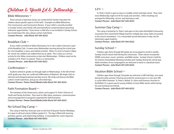# Children & Youth Ed & Fellowship

#### Bible Milestones  $+$

These annual or biannual classes are conducted for further education for children about specific aspects of the faith. Examples are Bible Milestones, First Communion, and Communion Review. If your child is currently enrolled in Sunday School, your family will automatically be contacted about upcoming milestone opportunities. If you know a child who is not enrolled in Sunday School but would enjoy this class, please contact Julie Klock. **Contact Person: Julie Klock 507-645-8252**

## Breakfast Club  $\leftarrow$

If your child is enrolled at Sibley Elementary, he or she is able to become a part of the Breakfast Club. It meets every Wednesday morning during the school year for a hot breakfast, a story, and related activities. When it is time to head to Sibley for school, the children are walked there by an adult. This is done as a service activity for the Sibley community on late start Wednesdays. Children need not be members of St. Peter's to attend. There is a nominal fee. **Contact Person: Julie Klock 507-645-8252**

#### Confirmation  $+$

Students attend in grades six through eight on Wednesdays. In the fall of their ninth grade year, they are confirmed (Affirmation of Baptism). We begin with an informal and intergenerational worship service. We study and discuss the Bible, Luther's Small Catechism, and go on a few field trips.

**Contact Person: Pastor David Weeks/Julie Klock 507-645-8252**

#### Faith Formation Board  $\leftarrow$

The members of this board assist, advise, and support St. Peter's Director of Youth and Family Activities. They meet to offer ideas, assistance, communication and encouragement to programs organized for faith formation. **Contact Person: Pastor David Weeks/Julie Klock 507-645-8252**

# No School Day Camp  $\leftarrow$

This camp is held four times per year on the End of Quarter Teacher Workdays. It is open to all local school children grades K-5. The day is filled with learning, activities, games, and relationship building. A reasonable fee covers expenses. **Contact Person: Julie Klock 507-645-8252**

#### $S.P.Y.$   $\leftarrow$

St. Peter's Youth is open to teens in middle school and high school. They meet every Wednesday night at 6:45 for study and activities. Other meetings are arranged for fellowship, service, and learning as well. **Contact Person: Julie Klock 507-645-8252**

## Summer Day Camp  $\leftarrow$

This camp is hosted by St. Peter's and open to the entire Northfield Community. Counselors from Good Earth Village lead the multiple day camp. Dates are posted in the church newsletters. It is a reasonable priced alternative to day care for elementary aged students.

**Contact Person: Julie Klock 507-645-8252**

## Sunday School +

Children ages three through 8th grade are encouraged to enroll in weekly Sunday School classes held during the school year. These classes incorporate SPARK curriculum, music, activities, and Bible stories. Sunday School is held for 50 minutes immediately following worship each Sunday during the school year. Adult members of our congregation are welcome to teach or substitute teach. **Contact Person: Julie Klock 507-645-8252**

#### Vacation Bible School  $+$

Children ages three through 3rd grade are welcome to VBS half days, one week during the early summer. Proving successful for several years in a row now, VBS is a joint effort between St. Peter's, Bethel, St. Johns and Emmaus churches in Northfield. It's a great way for young children to learn Bible stories while having fun and meeting new friends.

**Contact Person: Julie Klock 507-645-8252**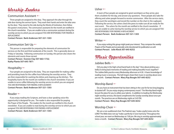# Worship Leaders

#### Communion Assistant  $\leftarrow$

Three people are assigned to this duty. They approach the altar through the side door during the sermon hymn. They wash their hands and enter the altar area by the door. They stand to the side during the Words of Institution, then follow the pastor's instructions. The communion assistants for the month are notified in the church newsletter. If you are unable to be a communion assistant during the worship service to which you are assigned *YOU ARE RESPONSIBLE FOR FINDING A REPLACEMENT.*

**Contact Person: Barb Anderson 507-321-1303**

#### Communion Set-Up  $\leftarrow$

This person is responsible for preparing the elements of communion for services on the first and third weekends of the month. This is generally done on Friday or Saturday. Following communion on Sunday, this person also cleans the elements and counts those served.

**Contact Person: Evonne Clay 507-663-1732; Kathy Plante 507-645-7871**

#### Hospitality  $\leftarrow$

Four people are assigned to this duty. They are responsible for making coffee and providing treats for the coffee hour following the worship service. They are then responsible for washing the dishes and cleaning up the kitchen. The hospitality teams for the month are notified in the church newsletter. If you are unable to serve coffee following the worship service to which you are assigned *YOU ARE RESPONSIBLE FOR FINDING A REPLACEMENT.* **Contact Person: Barb Anderson 507-321-1303**

#### Reader +

If you enjoy reading the Scripture, and have a clear speaking voice this opportunity is designed for you. The reader is also responsible for praying the Prayer of the People. The readers for the month are notified in the church newsletter. If you are unable to read during the worship service to which you are assigned *YOU ARE RESPONSIBLE FOR FINDING A REPLACEMENT.* **Contact Person: Barb Anderson 507-321-1303**

#### Usher $\leftarrow$

A team of four people are assigned to greet worshipers as they arrive, give them a bulletin for the day, and answer any questions. These people also take the offering and usher people forward to receive communion. After the service starts, they count the worshipers and record the number on the chart in the cupboard. Following the service, the ushers check the pews to make sure all are ready for the next event. The ushers for the month are notified in the church newsletter. If you are unable to usher during the worship service to which you are assigned *YOU ARE RESPONSIBLE FOR FINDING A REPLACEMENT.* **Contact Person: Barb Anderson 507-321-1303**

#### Writer  $\leftarrow$

If you enjoy writing this group might peak your interest. They compose the weekly Prayers of the People and occasionally write devotionals for publication as well. **Contact Person: Julie Klock 507-645-8252**

# Music Opportunities

#### Jubilee Bells +

Did you play in the high school band back in the day? How about picking up a bell(s) to bring back memories of reading and making beautiful music together? The Jubilee Bells practice every Wednesday afternoon at 4:30. A basic knowledge of reading music is necessary. The bell ringers share their music in worship about once per month. **Contact Person: Mary Kay Bougie 507-645-8252**

## Worship Band  $\leftarrow$

Do you have an instrument that has been sitting in the case for far too long begging to dusted off? Do you enjoy singing contemporary music? The Worship Band might be just the place for you to utilize your talents. In addition to leading the Wednesday night worship services, this band compliments the Sunday worship about once per month. The practices are on Wednesday nights at 5:45 P.M. **Contact Person: Mary Kay Bougie 507-645-8252**

#### Worship Choir  $\leftarrow$

We are a non-auditioned choir. The Psalmist says, "make a joyful noise unto the LORD." The Bible does not say "make a perfectly in-tune harmony." Throughout the school year, we meet on Wednesdays at 7:00 pm. We sing in worship approximately twice a month. **Contact Person: Mary Kay Bougie 507-645-8252**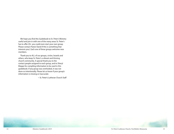We hope you find this Guidebook to St. Peter's Ministry useful and join in with one of the many areas St. Peter's has to offer (Or- you could even start your own group. Please contact Pastor David if this is something that interests you). Each one of these groups welcome new members.

Thank you to ALL of our groups, circles, boards and others, who keep St. Peter's a vibrant and thriving church community. A special thank you to the contact people assigned to each group, and to Sheryl Kleppe for compiling information to be used in this guidebook. If any group was overlooked, it was not done so intentionally. Please let us know if your group's information is missing or inaccurate.

~ St. Peter's Lutheran Church Staff